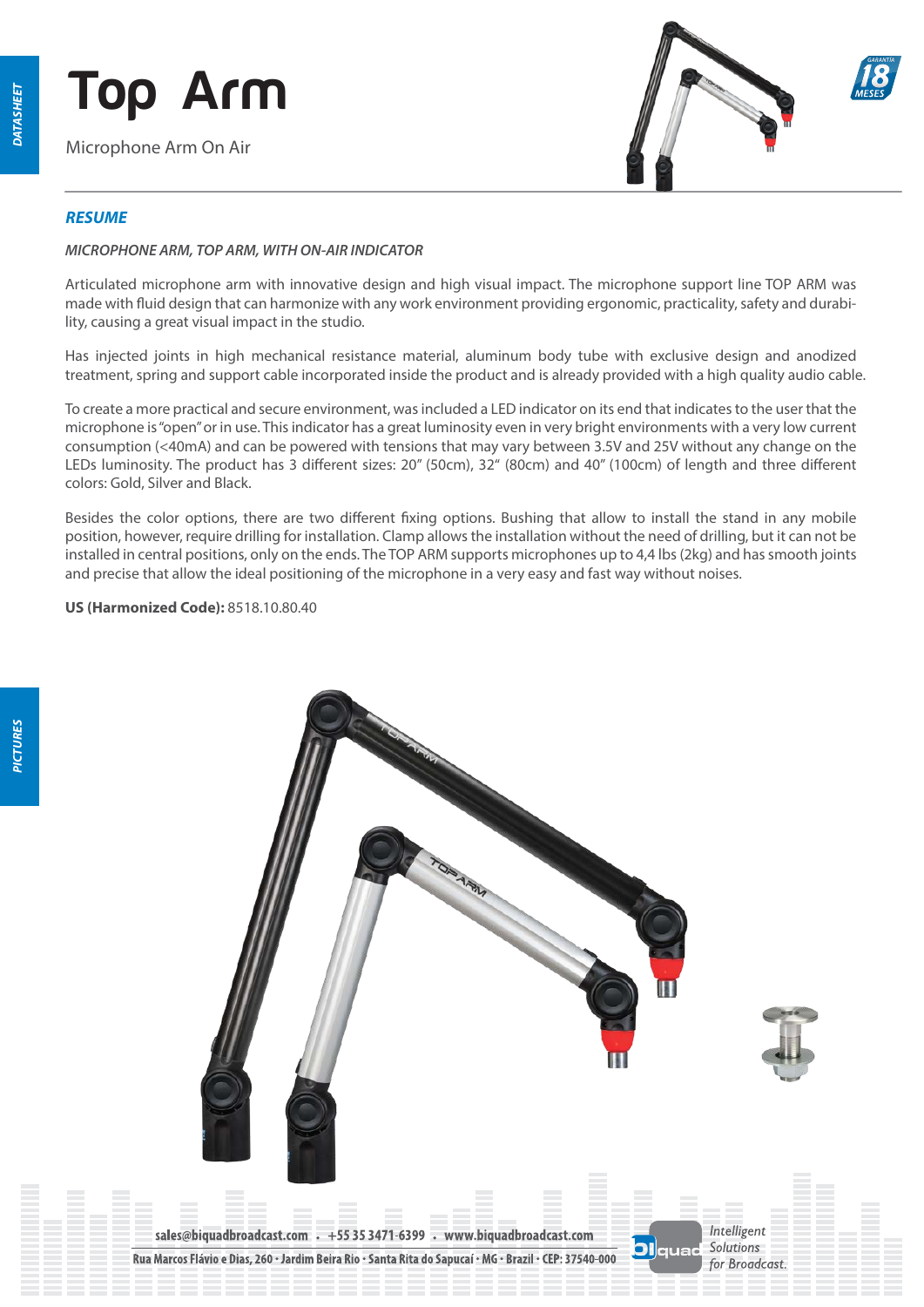*PICTURES*

PICTURES

# **Top Arm**

Microphone Arm On Air



### *RESUME*

#### *MICROPHONE ARM, TOP ARM, WITH ON-AIR INDICATOR*

Articulated microphone arm with innovative design and high visual impact. The microphone support line TOP ARM was made with fluid design that can harmonize with any work environment providing ergonomic, practicality, safety and durability, causing a great visual impact in the studio.

Has injected joints in high mechanical resistance material, aluminum body tube with exclusive design and anodized treatment, spring and support cable incorporated inside the product and is already provided with a high quality audio cable.

To create a more practical and secure environment, was included a LED indicator on its end that indicates to the user that the microphone is "open" or in use. This indicator has a great luminosity even in very bright environments with a very low current consumption (<40mA) and can be powered with tensions that may vary between 3.5V and 25V without any change on the LEDs luminosity. The product has 3 different sizes: 20" (50cm), 32" (80cm) and 40" (100cm) of length and three different colors: Gold, Silver and Black.

Besides the color options, there are two different fixing options. Bushing that allow to install the stand in any mobile position, however, require drilling for installation. Clamp allows the installation without the need of drilling, but it can not be installed in central positions, only on the ends. The TOP ARM supports microphones up to 4,4 lbs (2kg) and has smooth joints and precise that allow the ideal positioning of the microphone in a very easy and fast way without noises.

**US (Harmonized Code):** 8518.10.80.40